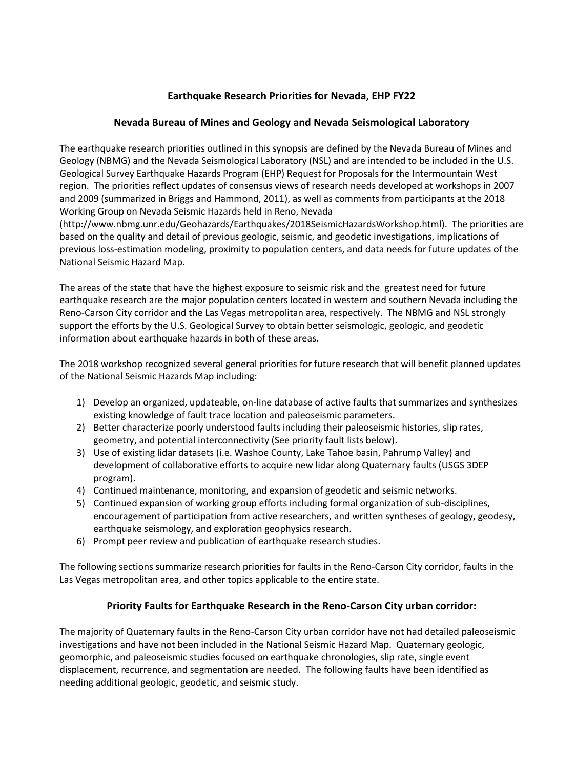# **Earthquake Research Priorities for Nevada, EHP FY22**

## **Nevada Bureau of Mines and Geology and Nevada Seismological Laboratory**

The earthquake research priorities outlined in this synopsis are defined by the Nevada Bureau of Mines and Geology (NBMG) and the Nevada Seismological Laboratory (NSL) and are intended to be included in the U.S. Geological Survey Earthquake Hazards Program (EHP) Request for Proposals for the Intermountain West region. The priorities reflect updates of consensus views of research needs developed at workshops in 2007 and 2009 (summarized in Briggs and Hammond, 2011), as well as comments from participants at the 2018 Working Group on Nevada Seismic Hazards held in Reno, Nevada

(http://www.nbmg.unr.edu/Geohazards/Earthquakes/2018SeismicHazardsWorkshop.html). The priorities are based on the quality and detail of previous geologic, seismic, and geodetic investigations, implications of previous loss-estimation modeling, proximity to population centers, and data needs for future updates of the National Seismic Hazard Map.

The areas of the state that have the highest exposure to seismic risk and the greatest need for future earthquake research are the major population centers located in western and southern Nevada including the Reno-Carson City corridor and the Las Vegas metropolitan area, respectively. The NBMG and NSL strongly support the efforts by the U.S. Geological Survey to obtain better seismologic, geologic, and geodetic information about earthquake hazards in both of these areas.

The 2018 workshop recognized several general priorities for future research that will benefit planned updates of the National Seismic Hazards Map including:

- 1) Develop an organized, updateable, on-line database of active faults that summarizes and synthesizes existing knowledge of fault trace location and paleoseismic parameters.
- 2) Better characterize poorly understood faults including their paleoseismic histories, slip rates, geometry, and potential interconnectivity (See priority fault lists below).
- 3) Use of existing lidar datasets (i.e. Washoe County, Lake Tahoe basin, Pahrump Valley) and development of collaborative efforts to acquire new lidar along Quaternary faults (USGS 3DEP program).
- 4) Continued maintenance, monitoring, and expansion of geodetic and seismic networks.
- 5) Continued expansion of working group efforts including formal organization of sub-disciplines, encouragement of participation from active researchers, and written syntheses of geology, geodesy, earthquake seismology, and exploration geophysics research.
- 6) Prompt peer review and publication of earthquake research studies.

The following sections summarize research priorities for faults in the Reno-Carson City corridor, faults in the Las Vegas metropolitan area, and other topics applicable to the entire state.

# **Priority Faults for Earthquake Research in the Reno-Carson City urban corridor:**

The majority of Quaternary faults in the Reno-Carson City urban corridor have not had detailed paleoseismic investigations and have not been included in the National Seismic Hazard Map. Quaternary geologic, geomorphic, and paleoseismic studies focused on earthquake chronologies, slip rate, single event displacement, recurrence, and segmentation are needed. The following faults have been identified as needing additional geologic, geodetic, and seismic study.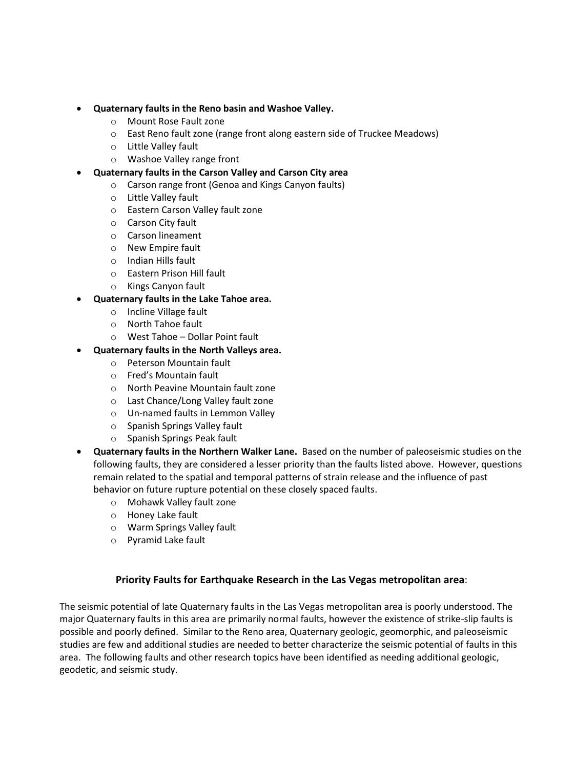- **Quaternary faults in the Reno basin and Washoe Valley.**
	- o Mount Rose Fault zone
	- o East Reno fault zone (range front along eastern side of Truckee Meadows)
	- o Little Valley fault
	- o Washoe Valley range front
- **Quaternary faults in the Carson Valley and Carson City area**
	- o Carson range front (Genoa and Kings Canyon faults)
	- o Little Valley fault
	- o Eastern Carson Valley fault zone
	- o Carson City fault
	- o Carson lineament
	- o New Empire fault
	- o Indian Hills fault
	- o Eastern Prison Hill fault
	- o Kings Canyon fault

#### • **Quaternary faults in the Lake Tahoe area.**

- o Incline Village fault
- o North Tahoe fault
- o West Tahoe Dollar Point fault

#### • **Quaternary faults in the North Valleys area.**

- o Peterson Mountain fault
- o Fred's Mountain fault
- o North Peavine Mountain fault zone
- o Last Chance/Long Valley fault zone
- o Un-named faults in Lemmon Valley
- o Spanish Springs Valley fault
- o Spanish Springs Peak fault
- **Quaternary faults in the Northern Walker Lane.** Based on the number of paleoseismic studies on the following faults, they are considered a lesser priority than the faults listed above. However, questions remain related to the spatial and temporal patterns of strain release and the influence of past behavior on future rupture potential on these closely spaced faults.
	- o Mohawk Valley fault zone
	- o Honey Lake fault
	- o Warm Springs Valley fault
	- o Pyramid Lake fault

### **Priority Faults for Earthquake Research in the Las Vegas metropolitan area**:

The seismic potential of late Quaternary faults in the Las Vegas metropolitan area is poorly understood. The major Quaternary faults in this area are primarily normal faults, however the existence of strike-slip faults is possible and poorly defined. Similar to the Reno area, Quaternary geologic, geomorphic, and paleoseismic studies are few and additional studies are needed to better characterize the seismic potential of faults in this area. The following faults and other research topics have been identified as needing additional geologic, geodetic, and seismic study.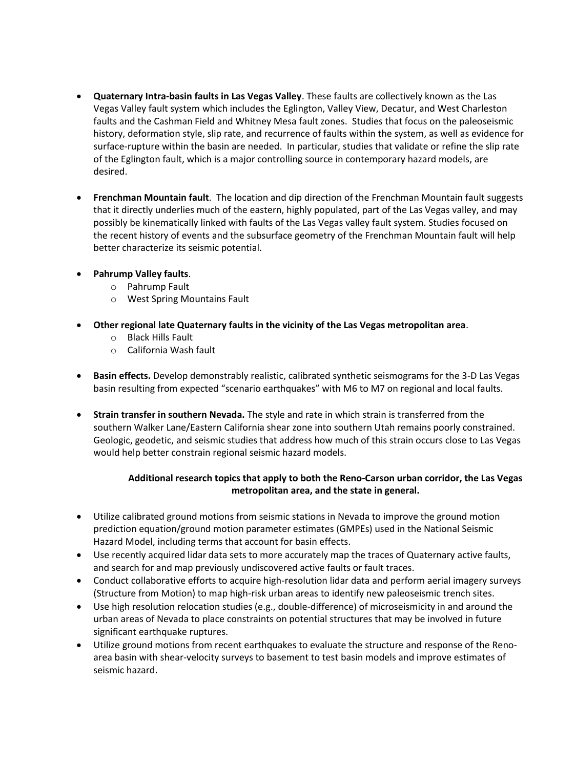- **Quaternary Intra-basin faults in Las Vegas Valley**. These faults are collectively known as the Las Vegas Valley fault system which includes the Eglington, Valley View, Decatur, and West Charleston faults and the Cashman Field and Whitney Mesa fault zones. Studies that focus on the paleoseismic history, deformation style, slip rate, and recurrence of faults within the system, as well as evidence for surface-rupture within the basin are needed. In particular, studies that validate or refine the slip rate of the Eglington fault, which is a major controlling source in contemporary hazard models, are desired.
- **Frenchman Mountain fault**. The location and dip direction of the Frenchman Mountain fault suggests that it directly underlies much of the eastern, highly populated, part of the Las Vegas valley, and may possibly be kinematically linked with faults of the Las Vegas valley fault system. Studies focused on the recent history of events and the subsurface geometry of the Frenchman Mountain fault will help better characterize its seismic potential.
- **Pahrump Valley faults**.
	- o Pahrump Fault
	- o West Spring Mountains Fault
- **Other regional late Quaternary faults in the vicinity of the Las Vegas metropolitan area**.
	- o Black Hills Fault
	- o California Wash fault
- **Basin effects.** Develop demonstrably realistic, calibrated synthetic seismograms for the 3-D Las Vegas basin resulting from expected "scenario earthquakes" with M6 to M7 on regional and local faults.
- **Strain transfer in southern Nevada.** The style and rate in which strain is transferred from the southern Walker Lane/Eastern California shear zone into southern Utah remains poorly constrained. Geologic, geodetic, and seismic studies that address how much of this strain occurs close to Las Vegas would help better constrain regional seismic hazard models.

### **Additional research topics that apply to both the Reno-Carson urban corridor, the Las Vegas metropolitan area, and the state in general.**

- Utilize calibrated ground motions from seismic stations in Nevada to improve the ground motion prediction equation/ground motion parameter estimates (GMPEs) used in the National Seismic Hazard Model, including terms that account for basin effects.
- Use recently acquired lidar data sets to more accurately map the traces of Quaternary active faults, and search for and map previously undiscovered active faults or fault traces.
- Conduct collaborative efforts to acquire high-resolution lidar data and perform aerial imagery surveys (Structure from Motion) to map high-risk urban areas to identify new paleoseismic trench sites.
- Use high resolution relocation studies (e.g., double-difference) of microseismicity in and around the urban areas of Nevada to place constraints on potential structures that may be involved in future significant earthquake ruptures.
- Utilize ground motions from recent earthquakes to evaluate the structure and response of the Renoarea basin with shear-velocity surveys to basement to test basin models and improve estimates of seismic hazard.